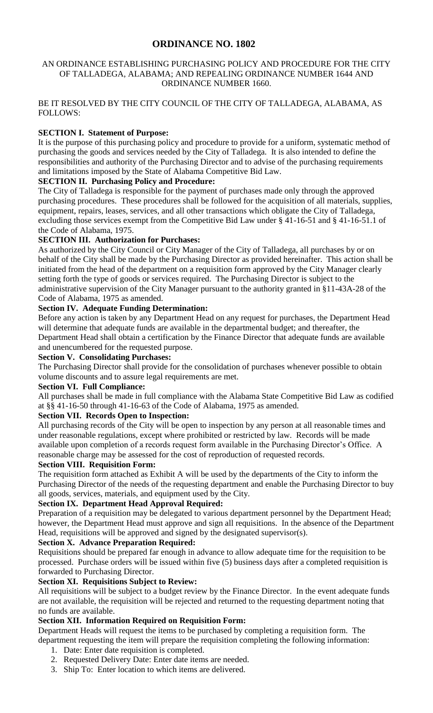# **ORDINANCE NO. 1802**

### AN ORDINANCE ESTABLISHING PURCHASING POLICY AND PROCEDURE FOR THE CITY OF TALLADEGA, ALABAMA; AND REPEALING ORDINANCE NUMBER 1644 AND ORDINANCE NUMBER 1660.

## BE IT RESOLVED BY THE CITY COUNCIL OF THE CITY OF TALLADEGA, ALABAMA, AS FOLLOWS:

# **SECTION I. Statement of Purpose:**

It is the purpose of this purchasing policy and procedure to provide for a uniform, systematic method of purchasing the goods and services needed by the City of Talladega. It is also intended to define the responsibilities and authority of the Purchasing Director and to advise of the purchasing requirements and limitations imposed by the State of Alabama Competitive Bid Law.

### **SECTION II. Purchasing Policy and Procedure:**

The City of Talladega is responsible for the payment of purchases made only through the approved purchasing procedures. These procedures shall be followed for the acquisition of all materials, supplies, equipment, repairs, leases, services, and all other transactions which obligate the City of Talladega, excluding those services exempt from the Competitive Bid Law under § 41-16-51 and § 41-16-51.1 of the Code of Alabama, 1975.

### **SECTION III. Authorization for Purchases:**

As authorized by the City Council or City Manager of the City of Talladega, all purchases by or on behalf of the City shall be made by the Purchasing Director as provided hereinafter. This action shall be initiated from the head of the department on a requisition form approved by the City Manager clearly setting forth the type of goods or services required. The Purchasing Director is subject to the administrative supervision of the City Manager pursuant to the authority granted in §11-43A-28 of the Code of Alabama, 1975 as amended.

### **Section IV. Adequate Funding Determination:**

Before any action is taken by any Department Head on any request for purchases, the Department Head will determine that adequate funds are available in the departmental budget; and thereafter, the Department Head shall obtain a certification by the Finance Director that adequate funds are available and unencumbered for the requested purpose.

### **Section V. Consolidating Purchases:**

The Purchasing Director shall provide for the consolidation of purchases whenever possible to obtain volume discounts and to assure legal requirements are met.

### **Section VI. Full Compliance:**

All purchases shall be made in full compliance with the Alabama State Competitive Bid Law as codified at §§ 41-16-50 through 41-16-63 of the Code of Alabama, 1975 as amended.

### **Section VII. Records Open to Inspection:**

All purchasing records of the City will be open to inspection by any person at all reasonable times and under reasonable regulations, except where prohibited or restricted by law. Records will be made available upon completion of a records request form available in the Purchasing Director's Office. A reasonable charge may be assessed for the cost of reproduction of requested records.

### **Section VIII. Requisition Form:**

The requisition form attached as Exhibit A will be used by the departments of the City to inform the Purchasing Director of the needs of the requesting department and enable the Purchasing Director to buy all goods, services, materials, and equipment used by the City.

### **Section IX. Department Head Approval Required:**

Preparation of a requisition may be delegated to various department personnel by the Department Head; however, the Department Head must approve and sign all requisitions. In the absence of the Department Head, requisitions will be approved and signed by the designated supervisor(s).

### **Section X. Advance Preparation Required:**

Requisitions should be prepared far enough in advance to allow adequate time for the requisition to be processed. Purchase orders will be issued within five (5) business days after a completed requisition is forwarded to Purchasing Director.

# **Section XI. Requisitions Subject to Review:**

All requisitions will be subject to a budget review by the Finance Director. In the event adequate funds are not available, the requisition will be rejected and returned to the requesting department noting that no funds are available.

# **Section XII. Information Required on Requisition Form:**

Department Heads will request the items to be purchased by completing a requisition form. The department requesting the item will prepare the requisition completing the following information:

- 1. Date: Enter date requisition is completed.
- 2. Requested Delivery Date: Enter date items are needed.
- 3. Ship To: Enter location to which items are delivered.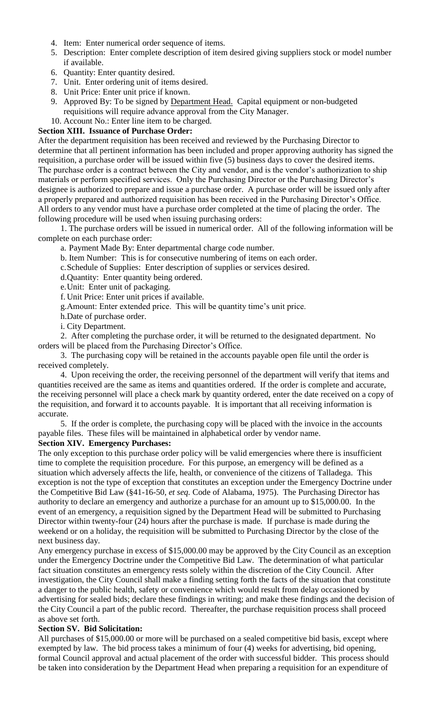- 4. Item: Enter numerical order sequence of items.
- 5. Description: Enter complete description of item desired giving suppliers stock or model number if available.
- 6. Quantity: Enter quantity desired.
- 7. Unit. Enter ordering unit of items desired.
- 8. Unit Price: Enter unit price if known.
- 9. Approved By: To be signed by Department Head. Capital equipment or non-budgeted requisitions will require advance approval from the City Manager.
- 10. Account No.: Enter line item to be charged.

### **Section XIII. Issuance of Purchase Order:**

After the department requisition has been received and reviewed by the Purchasing Director to determine that all pertinent information has been included and proper approving authority has signed the requisition, a purchase order will be issued within five (5) business days to cover the desired items. The purchase order is a contract between the City and vendor, and is the vendor's authorization to ship materials or perform specified services. Only the Purchasing Director or the Purchasing Director's designee is authorized to prepare and issue a purchase order. A purchase order will be issued only after a properly prepared and authorized requisition has been received in the Purchasing Director's Office. All orders to any vendor must have a purchase order completed at the time of placing the order. The following procedure will be used when issuing purchasing orders:

1. The purchase orders will be issued in numerical order. All of the following information will be complete on each purchase order:

a. Payment Made By: Enter departmental charge code number.

b. Item Number: This is for consecutive numbering of items on each order.

c.Schedule of Supplies: Enter description of supplies or services desired.

d.Quantity: Enter quantity being ordered.

e.Unit: Enter unit of packaging.

f. Unit Price: Enter unit prices if available.

g.Amount: Enter extended price. This will be quantity time's unit price.

h.Date of purchase order.

i. City Department.

2. After completing the purchase order, it will be returned to the designated department. No orders will be placed from the Purchasing Director's Office.

3. The purchasing copy will be retained in the accounts payable open file until the order is received completely.

4. Upon receiving the order, the receiving personnel of the department will verify that items and quantities received are the same as items and quantities ordered. If the order is complete and accurate, the receiving personnel will place a check mark by quantity ordered, enter the date received on a copy of the requisition, and forward it to accounts payable. It is important that all receiving information is accurate.

5. If the order is complete, the purchasing copy will be placed with the invoice in the accounts payable files. These files will be maintained in alphabetical order by vendor name.

#### **Section XIV. Emergency Purchases:**

The only exception to this purchase order policy will be valid emergencies where there is insufficient time to complete the requisition procedure. For this purpose, an emergency will be defined as a situation which adversely affects the life, health, or convenience of the citizens of Talladega. This exception is not the type of exception that constitutes an exception under the Emergency Doctrine under the Competitive Bid Law (§41-16-50, *et seq.* Code of Alabama, 1975). The Purchasing Director has authority to declare an emergency and authorize a purchase for an amount up to \$15,000.00. In the event of an emergency, a requisition signed by the Department Head will be submitted to Purchasing Director within twenty-four (24) hours after the purchase is made. If purchase is made during the weekend or on a holiday, the requisition will be submitted to Purchasing Director by the close of the next business day.

Any emergency purchase in excess of \$15,000.00 may be approved by the City Council as an exception under the Emergency Doctrine under the Competitive Bid Law. The determination of what particular fact situation constitutes an emergency rests solely within the discretion of the City Council. After investigation, the City Council shall make a finding setting forth the facts of the situation that constitute a danger to the public health, safety or convenience which would result from delay occasioned by advertising for sealed bids; declare these findings in writing; and make these findings and the decision of the City Council a part of the public record. Thereafter, the purchase requisition process shall proceed as above set forth.

#### **Section SV. Bid Solicitation:**

All purchases of \$15,000.00 or more will be purchased on a sealed competitive bid basis, except where exempted by law. The bid process takes a minimum of four (4) weeks for advertising, bid opening, formal Council approval and actual placement of the order with successful bidder. This process should be taken into consideration by the Department Head when preparing a requisition for an expenditure of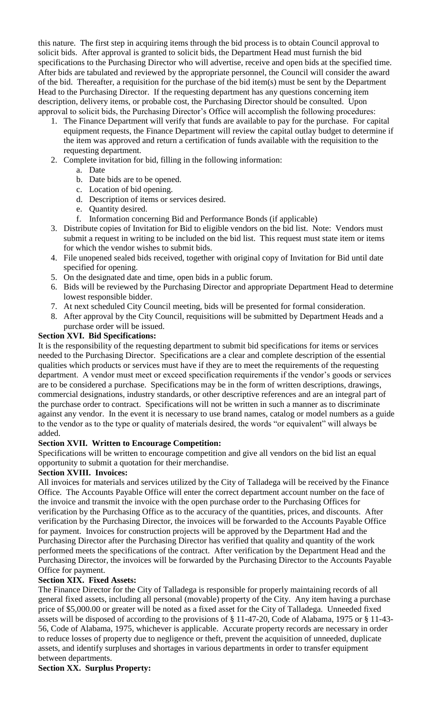this nature. The first step in acquiring items through the bid process is to obtain Council approval to solicit bids. After approval is granted to solicit bids, the Department Head must furnish the bid specifications to the Purchasing Director who will advertise, receive and open bids at the specified time. After bids are tabulated and reviewed by the appropriate personnel, the Council will consider the award of the bid. Thereafter, a requisition for the purchase of the bid item(s) must be sent by the Department Head to the Purchasing Director. If the requesting department has any questions concerning item description, delivery items, or probable cost, the Purchasing Director should be consulted. Upon approval to solicit bids, the Purchasing Director's Office will accomplish the following procedures:

- 1. The Finance Department will verify that funds are available to pay for the purchase. For capital equipment requests, the Finance Department will review the capital outlay budget to determine if the item was approved and return a certification of funds available with the requisition to the requesting department.
- 2. Complete invitation for bid, filling in the following information:
	- a. Date
	- b. Date bids are to be opened.
	- c. Location of bid opening.
	- d. Description of items or services desired.
	- e. Quantity desired.
	- f. Information concerning Bid and Performance Bonds (if applicable)
- 3. Distribute copies of Invitation for Bid to eligible vendors on the bid list. Note: Vendors must submit a request in writing to be included on the bid list. This request must state item or items for which the vendor wishes to submit bids.
- 4. File unopened sealed bids received, together with original copy of Invitation for Bid until date specified for opening.
- 5. On the designated date and time, open bids in a public forum.
- 6. Bids will be reviewed by the Purchasing Director and appropriate Department Head to determine lowest responsible bidder.
- 7. At next scheduled City Council meeting, bids will be presented for formal consideration.
- 8. After approval by the City Council, requisitions will be submitted by Department Heads and a purchase order will be issued.

### **Section XVI. Bid Specifications:**

It is the responsibility of the requesting department to submit bid specifications for items or services needed to the Purchasing Director. Specifications are a clear and complete description of the essential qualities which products or services must have if they are to meet the requirements of the requesting department. A vendor must meet or exceed specification requirements if the vendor's goods or services are to be considered a purchase. Specifications may be in the form of written descriptions, drawings, commercial designations, industry standards, or other descriptive references and are an integral part of the purchase order to contract. Specifications will not be written in such a manner as to discriminate against any vendor. In the event it is necessary to use brand names, catalog or model numbers as a guide to the vendor as to the type or quality of materials desired, the words "or equivalent" will always be added.

### **Section XVII. Written to Encourage Competition:**

Specifications will be written to encourage competition and give all vendors on the bid list an equal opportunity to submit a quotation for their merchandise.

### **Section XVIII. Invoices:**

All invoices for materials and services utilized by the City of Talladega will be received by the Finance Office. The Accounts Payable Office will enter the correct department account number on the face of the invoice and transmit the invoice with the open purchase order to the Purchasing Offices for verification by the Purchasing Office as to the accuracy of the quantities, prices, and discounts. After verification by the Purchasing Director, the invoices will be forwarded to the Accounts Payable Office for payment. Invoices for construction projects will be approved by the Department Had and the Purchasing Director after the Purchasing Director has verified that quality and quantity of the work performed meets the specifications of the contract. After verification by the Department Head and the Purchasing Director, the invoices will be forwarded by the Purchasing Director to the Accounts Payable Office for payment.

### **Section XIX. Fixed Assets:**

The Finance Director for the City of Talladega is responsible for properly maintaining records of all general fixed assets, including all personal (movable) property of the City. Any item having a purchase price of \$5,000.00 or greater will be noted as a fixed asset for the City of Talladega. Unneeded fixed assets will be disposed of according to the provisions of § 11-47-20, Code of Alabama, 1975 or § 11-43- 56, Code of Alabama, 1975, whichever is applicable. Accurate property records are necessary in order to reduce losses of property due to negligence or theft, prevent the acquisition of unneeded, duplicate assets, and identify surpluses and shortages in various departments in order to transfer equipment between departments.

### **Section XX. Surplus Property:**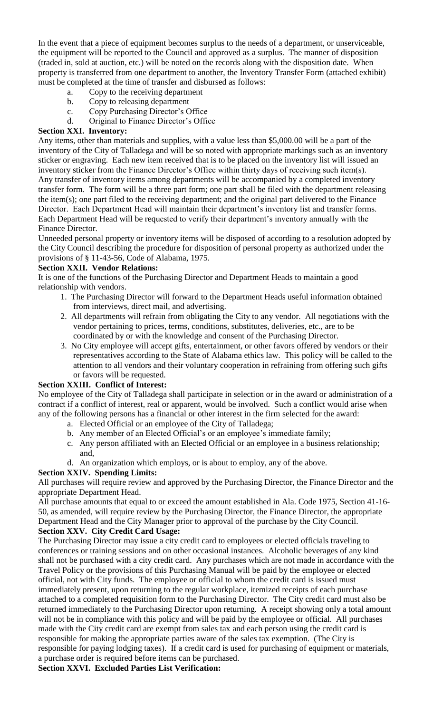In the event that a piece of equipment becomes surplus to the needs of a department, or unserviceable, the equipment will be reported to the Council and approved as a surplus. The manner of disposition (traded in, sold at auction, etc.) will be noted on the records along with the disposition date. When property is transferred from one department to another, the Inventory Transfer Form (attached exhibit) must be completed at the time of transfer and disbursed as follows:

- a. Copy to the receiving department
- b. Copy to releasing department
- c. Copy Purchasing Director's Office
- d. Original to Finance Director's Office

### **Section XXI. Inventory:**

Any items, other than materials and supplies, with a value less than \$5,000.00 will be a part of the inventory of the City of Talladega and will be so noted with appropriate markings such as an inventory sticker or engraving. Each new item received that is to be placed on the inventory list will issued an inventory sticker from the Finance Director's Office within thirty days of receiving such item(s). Any transfer of inventory items among departments will be accompanied by a completed inventory transfer form. The form will be a three part form; one part shall be filed with the department releasing the item(s); one part filed to the receiving department; and the original part delivered to the Finance Director. Each Department Head will maintain their department's inventory list and transfer forms. Each Department Head will be requested to verify their department's inventory annually with the Finance Director.

Unneeded personal property or inventory items will be disposed of according to a resolution adopted by the City Council describing the procedure for disposition of personal property as authorized under the provisions of § 11-43-56, Code of Alabama, 1975.

### **Section XXII. Vendor Relations:**

It is one of the functions of the Purchasing Director and Department Heads to maintain a good relationship with vendors.

- 1. The Purchasing Director will forward to the Department Heads useful information obtained from interviews, direct mail, and advertising.
- 2. All departments will refrain from obligating the City to any vendor. All negotiations with the vendor pertaining to prices, terms, conditions, substitutes, deliveries, etc., are to be coordinated by or with the knowledge and consent of the Purchasing Director.
- 3. No City employee will accept gifts, entertainment, or other favors offered by vendors or their representatives according to the State of Alabama ethics law. This policy will be called to the attention to all vendors and their voluntary cooperation in refraining from offering such gifts or favors will be requested.

### **Section XXIII. Conflict of Interest:**

No employee of the City of Talladega shall participate in selection or in the award or administration of a contract if a conflict of interest, real or apparent, would be involved. Such a conflict would arise when any of the following persons has a financial or other interest in the firm selected for the award:

- a. Elected Official or an employee of the City of Talladega;
- b. Any member of an Elected Official's or an employee's immediate family;
- c. Any person affiliated with an Elected Official or an employee in a business relationship; and,
- d. An organization which employs, or is about to employ, any of the above.

### **Section XXIV. Spending Limits:**

All purchases will require review and approved by the Purchasing Director, the Finance Director and the appropriate Department Head.

All purchase amounts that equal to or exceed the amount established in Ala. Code 1975, Section 41-16- 50, as amended, will require review by the Purchasing Director, the Finance Director, the appropriate Department Head and the City Manager prior to approval of the purchase by the City Council. **Section XXV. City Credit Card Usage:**

The Purchasing Director may issue a city credit card to employees or elected officials traveling to conferences or training sessions and on other occasional instances. Alcoholic beverages of any kind shall not be purchased with a city credit card. Any purchases which are not made in accordance with the Travel Policy or the provisions of this Purchasing Manual will be paid by the employee or elected official, not with City funds. The employee or official to whom the credit card is issued must immediately present, upon returning to the regular workplace, itemized receipts of each purchase attached to a completed requisition form to the Purchasing Director. The City credit card must also be returned immediately to the Purchasing Director upon returning. A receipt showing only a total amount will not be in compliance with this policy and will be paid by the employee or official. All purchases made with the City credit card are exempt from sales tax and each person using the credit card is responsible for making the appropriate parties aware of the sales tax exemption. (The City is responsible for paying lodging taxes). If a credit card is used for purchasing of equipment or materials, a purchase order is required before items can be purchased.

### **Section XXVI. Excluded Parties List Verification:**